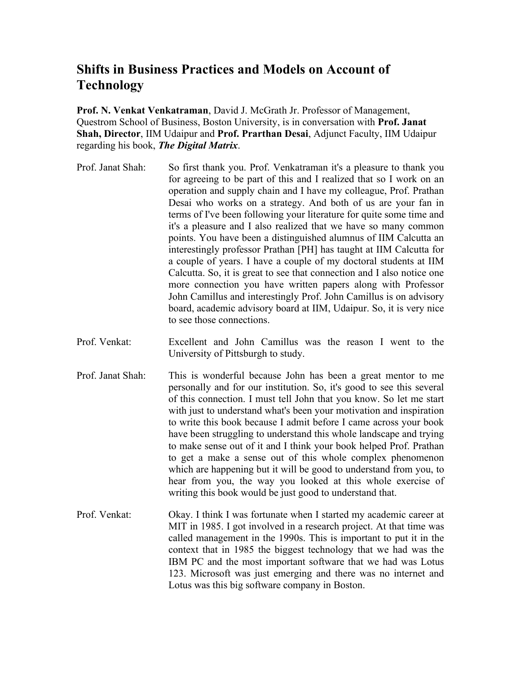## **Shifts in Business Practices and Models on Account of Technology**

**Prof. N. Venkat Venkatraman**, David J. McGrath Jr. Professor of Management, Questrom School of Business, Boston University, is in conversation with **Prof. Janat Shah, Director**, IIM Udaipur and **Prof. Prarthan Desai**, Adjunct Faculty, IIM Udaipur regarding his book, *The Digital Matrix*.

- Prof. Janat Shah: So first thank you. Prof. Venkatraman it's a pleasure to thank you for agreeing to be part of this and I realized that so I work on an operation and supply chain and I have my colleague, Prof. Prathan Desai who works on a strategy. And both of us are your fan in terms of I've been following your literature for quite some time and it's a pleasure and I also realized that we have so many common points. You have been a distinguished alumnus of IIM Calcutta an interestingly professor Prathan [PH] has taught at IIM Calcutta for a couple of years. I have a couple of my doctoral students at IIM Calcutta. So, it is great to see that connection and I also notice one more connection you have written papers along with Professor John Camillus and interestingly Prof. John Camillus is on advisory board, academic advisory board at IIM, Udaipur. So, it is very nice to see those connections.
- Prof. Venkat: Excellent and John Camillus was the reason I went to the University of Pittsburgh to study.
- Prof. Janat Shah: This is wonderful because John has been a great mentor to me personally and for our institution. So, it's good to see this several of this connection. I must tell John that you know. So let me start with just to understand what's been your motivation and inspiration to write this book because I admit before I came across your book have been struggling to understand this whole landscape and trying to make sense out of it and I think your book helped Prof. Prathan to get a make a sense out of this whole complex phenomenon which are happening but it will be good to understand from you, to hear from you, the way you looked at this whole exercise of writing this book would be just good to understand that.
- Prof. Venkat: Okay. I think I was fortunate when I started my academic career at MIT in 1985. I got involved in a research project. At that time was called management in the 1990s. This is important to put it in the context that in 1985 the biggest technology that we had was the IBM PC and the most important software that we had was Lotus 123. Microsoft was just emerging and there was no internet and Lotus was this big software company in Boston.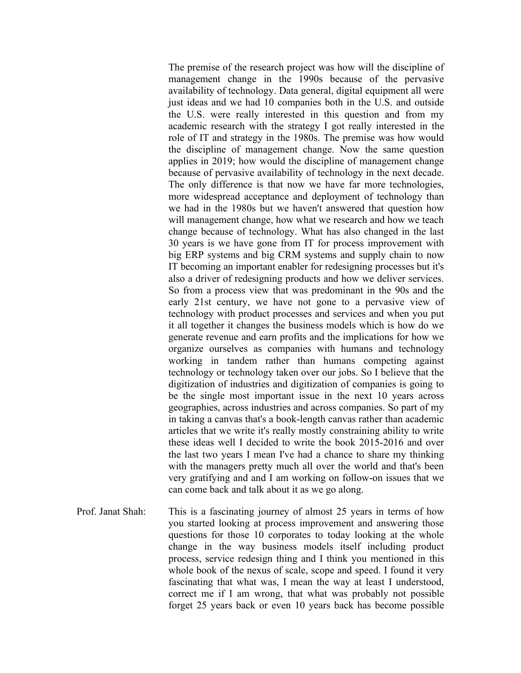The premise of the research project was how will the discipline of management change in the 1990s because of the pervasive availability of technology. Data general, digital equipment all were just ideas and we had 10 companies both in the U.S. and outside the U.S. were really interested in this question and from my academic research with the strategy I got really interested in the role of IT and strategy in the 1980s. The premise was how would the discipline of management change. Now the same question applies in 2019; how would the discipline of management change because of pervasive availability of technology in the next decade. The only difference is that now we have far more technologies, more widespread acceptance and deployment of technology than we had in the 1980s but we haven't answered that question how will management change, how what we research and how we teach change because of technology. What has also changed in the last 30 years is we have gone from IT for process improvement with big ERP systems and big CRM systems and supply chain to now IT becoming an important enabler for redesigning processes but it's also a driver of redesigning products and how we deliver services. So from a process view that was predominant in the 90s and the early 21st century, we have not gone to a pervasive view of technology with product processes and services and when you put it all together it changes the business models which is how do we generate revenue and earn profits and the implications for how we organize ourselves as companies with humans and technology working in tandem rather than humans competing against technology or technology taken over our jobs. So I believe that the digitization of industries and digitization of companies is going to be the single most important issue in the next 10 years across geographies, across industries and across companies. So part of my in taking a canvas that's a book-length canvas rather than academic articles that we write it's really mostly constraining ability to write these ideas well I decided to write the book 2015-2016 and over the last two years I mean I've had a chance to share my thinking with the managers pretty much all over the world and that's been very gratifying and and I am working on follow-on issues that we can come back and talk about it as we go along.

Prof. Janat Shah: This is a fascinating journey of almost 25 years in terms of how you started looking at process improvement and answering those questions for those 10 corporates to today looking at the whole change in the way business models itself including product process, service redesign thing and I think you mentioned in this whole book of the nexus of scale, scope and speed. I found it very fascinating that what was, I mean the way at least I understood, correct me if I am wrong, that what was probably not possible forget 25 years back or even 10 years back has become possible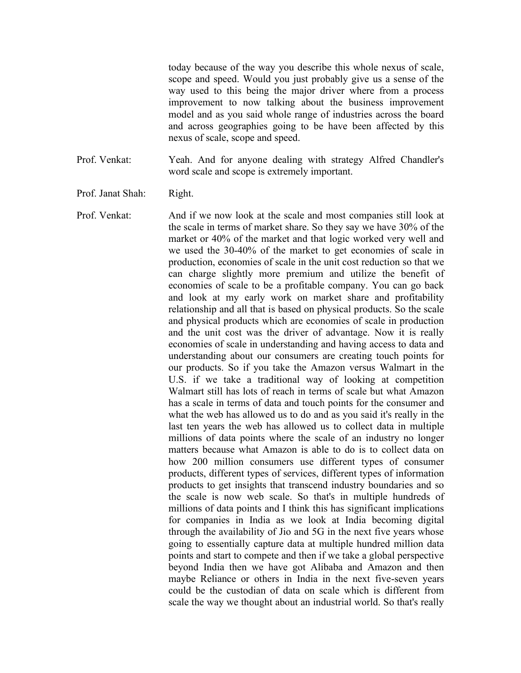today because of the way you describe this whole nexus of scale, scope and speed. Would you just probably give us a sense of the way used to this being the major driver where from a process improvement to now talking about the business improvement model and as you said whole range of industries across the board and across geographies going to be have been affected by this nexus of scale, scope and speed.

Prof. Venkat: Yeah. And for anyone dealing with strategy Alfred Chandler's word scale and scope is extremely important.

- Prof. Janat Shah: Right.
- Prof. Venkat: And if we now look at the scale and most companies still look at the scale in terms of market share. So they say we have 30% of the market or 40% of the market and that logic worked very well and we used the 30-40% of the market to get economies of scale in production, economies of scale in the unit cost reduction so that we can charge slightly more premium and utilize the benefit of economies of scale to be a profitable company. You can go back and look at my early work on market share and profitability relationship and all that is based on physical products. So the scale and physical products which are economies of scale in production and the unit cost was the driver of advantage. Now it is really economies of scale in understanding and having access to data and understanding about our consumers are creating touch points for our products. So if you take the Amazon versus Walmart in the U.S. if we take a traditional way of looking at competition Walmart still has lots of reach in terms of scale but what Amazon has a scale in terms of data and touch points for the consumer and what the web has allowed us to do and as you said it's really in the last ten years the web has allowed us to collect data in multiple millions of data points where the scale of an industry no longer matters because what Amazon is able to do is to collect data on how 200 million consumers use different types of consumer products, different types of services, different types of information products to get insights that transcend industry boundaries and so the scale is now web scale. So that's in multiple hundreds of millions of data points and I think this has significant implications for companies in India as we look at India becoming digital through the availability of Jio and 5G in the next five years whose going to essentially capture data at multiple hundred million data points and start to compete and then if we take a global perspective beyond India then we have got Alibaba and Amazon and then maybe Reliance or others in India in the next five-seven years could be the custodian of data on scale which is different from scale the way we thought about an industrial world. So that's really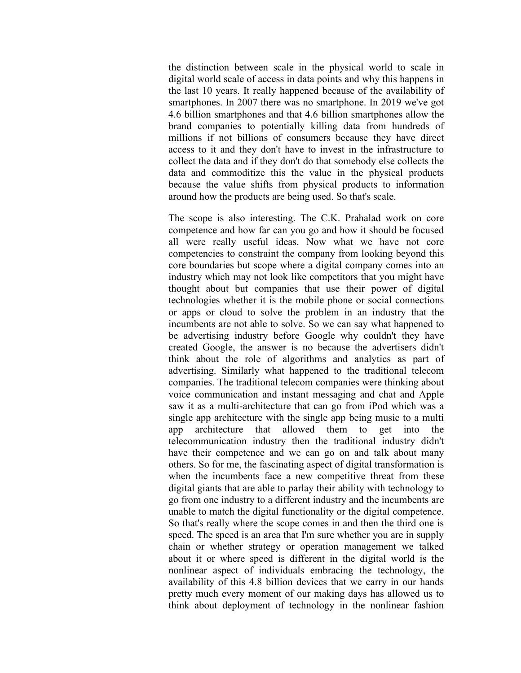the distinction between scale in the physical world to scale in digital world scale of access in data points and why this happens in the last 10 years. It really happened because of the availability of smartphones. In 2007 there was no smartphone. In 2019 we've got 4.6 billion smartphones and that 4.6 billion smartphones allow the brand companies to potentially killing data from hundreds of millions if not billions of consumers because they have direct access to it and they don't have to invest in the infrastructure to collect the data and if they don't do that somebody else collects the data and commoditize this the value in the physical products because the value shifts from physical products to information around how the products are being used. So that's scale.

The scope is also interesting. The C.K. Prahalad work on core competence and how far can you go and how it should be focused all were really useful ideas. Now what we have not core competencies to constraint the company from looking beyond this core boundaries but scope where a digital company comes into an industry which may not look like competitors that you might have thought about but companies that use their power of digital technologies whether it is the mobile phone or social connections or apps or cloud to solve the problem in an industry that the incumbents are not able to solve. So we can say what happened to be advertising industry before Google why couldn't they have created Google, the answer is no because the advertisers didn't think about the role of algorithms and analytics as part of advertising. Similarly what happened to the traditional telecom companies. The traditional telecom companies were thinking about voice communication and instant messaging and chat and Apple saw it as a multi-architecture that can go from iPod which was a single app architecture with the single app being music to a multi app architecture that allowed them to get into the telecommunication industry then the traditional industry didn't have their competence and we can go on and talk about many others. So for me, the fascinating aspect of digital transformation is when the incumbents face a new competitive threat from these digital giants that are able to parlay their ability with technology to go from one industry to a different industry and the incumbents are unable to match the digital functionality or the digital competence. So that's really where the scope comes in and then the third one is speed. The speed is an area that I'm sure whether you are in supply chain or whether strategy or operation management we talked about it or where speed is different in the digital world is the nonlinear aspect of individuals embracing the technology, the availability of this 4.8 billion devices that we carry in our hands pretty much every moment of our making days has allowed us to think about deployment of technology in the nonlinear fashion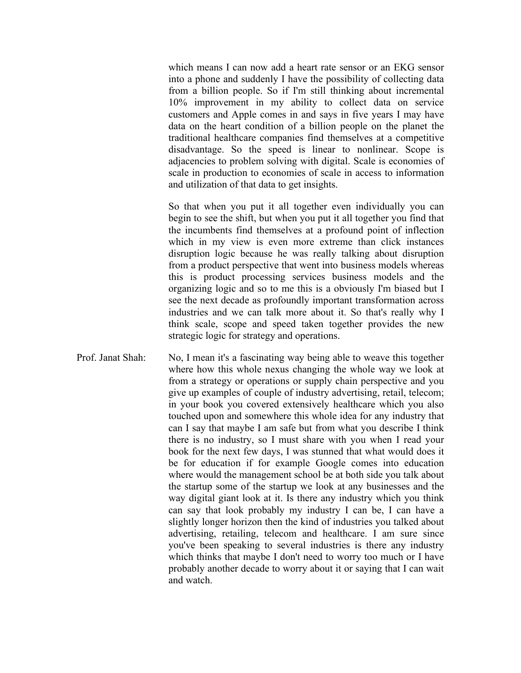which means I can now add a heart rate sensor or an EKG sensor into a phone and suddenly I have the possibility of collecting data from a billion people. So if I'm still thinking about incremental 10% improvement in my ability to collect data on service customers and Apple comes in and says in five years I may have data on the heart condition of a billion people on the planet the traditional healthcare companies find themselves at a competitive disadvantage. So the speed is linear to nonlinear. Scope is adjacencies to problem solving with digital. Scale is economies of scale in production to economies of scale in access to information and utilization of that data to get insights.

So that when you put it all together even individually you can begin to see the shift, but when you put it all together you find that the incumbents find themselves at a profound point of inflection which in my view is even more extreme than click instances disruption logic because he was really talking about disruption from a product perspective that went into business models whereas this is product processing services business models and the organizing logic and so to me this is a obviously I'm biased but I see the next decade as profoundly important transformation across industries and we can talk more about it. So that's really why I think scale, scope and speed taken together provides the new strategic logic for strategy and operations.

Prof. Janat Shah: No, I mean it's a fascinating way being able to weave this together where how this whole nexus changing the whole way we look at from a strategy or operations or supply chain perspective and you give up examples of couple of industry advertising, retail, telecom; in your book you covered extensively healthcare which you also touched upon and somewhere this whole idea for any industry that can I say that maybe I am safe but from what you describe I think there is no industry, so I must share with you when I read your book for the next few days, I was stunned that what would does it be for education if for example Google comes into education where would the management school be at both side you talk about the startup some of the startup we look at any businesses and the way digital giant look at it. Is there any industry which you think can say that look probably my industry I can be, I can have a slightly longer horizon then the kind of industries you talked about advertising, retailing, telecom and healthcare. I am sure since you've been speaking to several industries is there any industry which thinks that maybe I don't need to worry too much or I have probably another decade to worry about it or saying that I can wait and watch.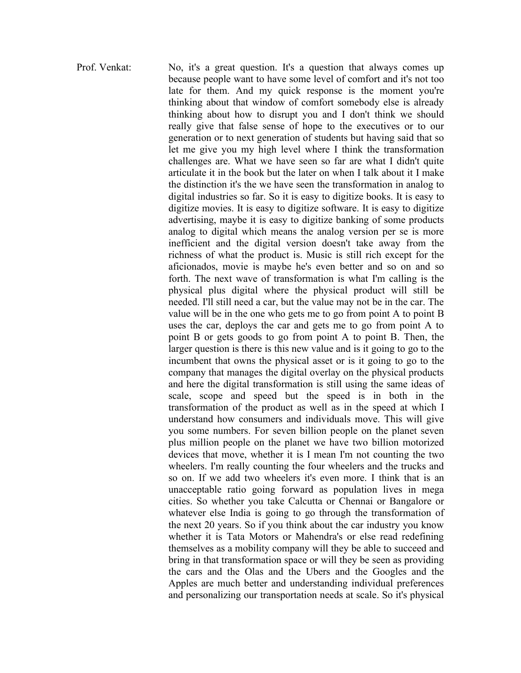Prof. Venkat: No, it's a great question. It's a question that always comes up because people want to have some level of comfort and it's not too late for them. And my quick response is the moment you're thinking about that window of comfort somebody else is already thinking about how to disrupt you and I don't think we should really give that false sense of hope to the executives or to our generation or to next generation of students but having said that so let me give you my high level where I think the transformation challenges are. What we have seen so far are what I didn't quite articulate it in the book but the later on when I talk about it I make the distinction it's the we have seen the transformation in analog to digital industries so far. So it is easy to digitize books. It is easy to digitize movies. It is easy to digitize software. It is easy to digitize advertising, maybe it is easy to digitize banking of some products analog to digital which means the analog version per se is more inefficient and the digital version doesn't take away from the richness of what the product is. Music is still rich except for the aficionados, movie is maybe he's even better and so on and so forth. The next wave of transformation is what I'm calling is the physical plus digital where the physical product will still be needed. I'll still need a car, but the value may not be in the car. The value will be in the one who gets me to go from point A to point B uses the car, deploys the car and gets me to go from point A to point B or gets goods to go from point A to point B. Then, the larger question is there is this new value and is it going to go to the incumbent that owns the physical asset or is it going to go to the company that manages the digital overlay on the physical products and here the digital transformation is still using the same ideas of scale, scope and speed but the speed is in both in the transformation of the product as well as in the speed at which I understand how consumers and individuals move. This will give you some numbers. For seven billion people on the planet seven plus million people on the planet we have two billion motorized devices that move, whether it is I mean I'm not counting the two wheelers. I'm really counting the four wheelers and the trucks and so on. If we add two wheelers it's even more. I think that is an unacceptable ratio going forward as population lives in mega cities. So whether you take Calcutta or Chennai or Bangalore or whatever else India is going to go through the transformation of the next 20 years. So if you think about the car industry you know whether it is Tata Motors or Mahendra's or else read redefining themselves as a mobility company will they be able to succeed and bring in that transformation space or will they be seen as providing the cars and the Olas and the Ubers and the Googles and the Apples are much better and understanding individual preferences and personalizing our transportation needs at scale. So it's physical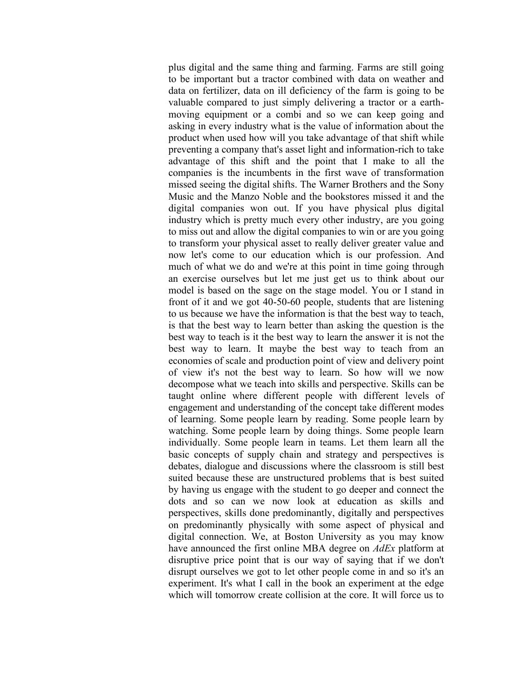plus digital and the same thing and farming. Farms are still going to be important but a tractor combined with data on weather and data on fertilizer, data on ill deficiency of the farm is going to be valuable compared to just simply delivering a tractor or a earthmoving equipment or a combi and so we can keep going and asking in every industry what is the value of information about the product when used how will you take advantage of that shift while preventing a company that's asset light and information-rich to take advantage of this shift and the point that I make to all the companies is the incumbents in the first wave of transformation missed seeing the digital shifts. The Warner Brothers and the Sony Music and the Manzo Noble and the bookstores missed it and the digital companies won out. If you have physical plus digital industry which is pretty much every other industry, are you going to miss out and allow the digital companies to win or are you going to transform your physical asset to really deliver greater value and now let's come to our education which is our profession. And much of what we do and we're at this point in time going through an exercise ourselves but let me just get us to think about our model is based on the sage on the stage model. You or I stand in front of it and we got 40-50-60 people, students that are listening to us because we have the information is that the best way to teach, is that the best way to learn better than asking the question is the best way to teach is it the best way to learn the answer it is not the best way to learn. It maybe the best way to teach from an economies of scale and production point of view and delivery point of view it's not the best way to learn. So how will we now decompose what we teach into skills and perspective. Skills can be taught online where different people with different levels of engagement and understanding of the concept take different modes of learning. Some people learn by reading. Some people learn by watching. Some people learn by doing things. Some people learn individually. Some people learn in teams. Let them learn all the basic concepts of supply chain and strategy and perspectives is debates, dialogue and discussions where the classroom is still best suited because these are unstructured problems that is best suited by having us engage with the student to go deeper and connect the dots and so can we now look at education as skills and perspectives, skills done predominantly, digitally and perspectives on predominantly physically with some aspect of physical and digital connection. We, at Boston University as you may know have announced the first online MBA degree on *AdEx* platform at disruptive price point that is our way of saying that if we don't disrupt ourselves we got to let other people come in and so it's an experiment. It's what I call in the book an experiment at the edge which will tomorrow create collision at the core. It will force us to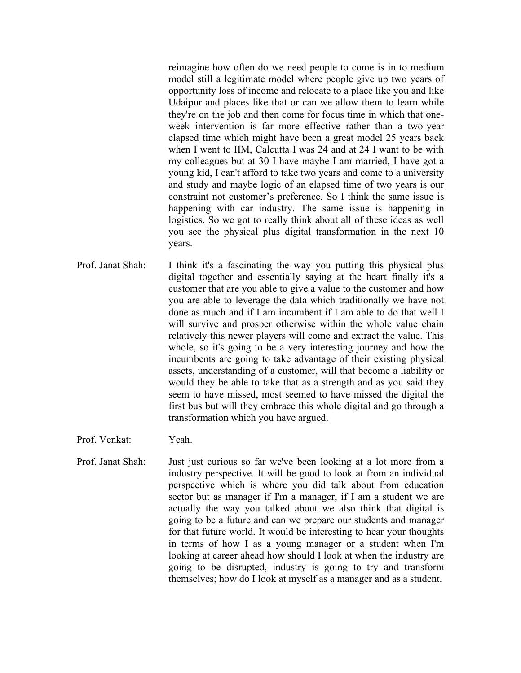reimagine how often do we need people to come is in to medium model still a legitimate model where people give up two years of opportunity loss of income and relocate to a place like you and like Udaipur and places like that or can we allow them to learn while they're on the job and then come for focus time in which that oneweek intervention is far more effective rather than a two-year elapsed time which might have been a great model 25 years back when I went to IIM, Calcutta I was 24 and at 24 I want to be with my colleagues but at 30 I have maybe I am married, I have got a young kid, I can't afford to take two years and come to a university and study and maybe logic of an elapsed time of two years is our constraint not customer's preference. So I think the same issue is happening with car industry. The same issue is happening in logistics. So we got to really think about all of these ideas as well you see the physical plus digital transformation in the next 10 years.

- Prof. Janat Shah: I think it's a fascinating the way you putting this physical plus digital together and essentially saying at the heart finally it's a customer that are you able to give a value to the customer and how you are able to leverage the data which traditionally we have not done as much and if I am incumbent if I am able to do that well I will survive and prosper otherwise within the whole value chain relatively this newer players will come and extract the value. This whole, so it's going to be a very interesting journey and how the incumbents are going to take advantage of their existing physical assets, understanding of a customer, will that become a liability or would they be able to take that as a strength and as you said they seem to have missed, most seemed to have missed the digital the first bus but will they embrace this whole digital and go through a transformation which you have argued.
- Prof. Venkat: Yeah.
- Prof. Janat Shah: Just just curious so far we've been looking at a lot more from a industry perspective. It will be good to look at from an individual perspective which is where you did talk about from education sector but as manager if I'm a manager, if I am a student we are actually the way you talked about we also think that digital is going to be a future and can we prepare our students and manager for that future world. It would be interesting to hear your thoughts in terms of how I as a young manager or a student when I'm looking at career ahead how should I look at when the industry are going to be disrupted, industry is going to try and transform themselves; how do I look at myself as a manager and as a student.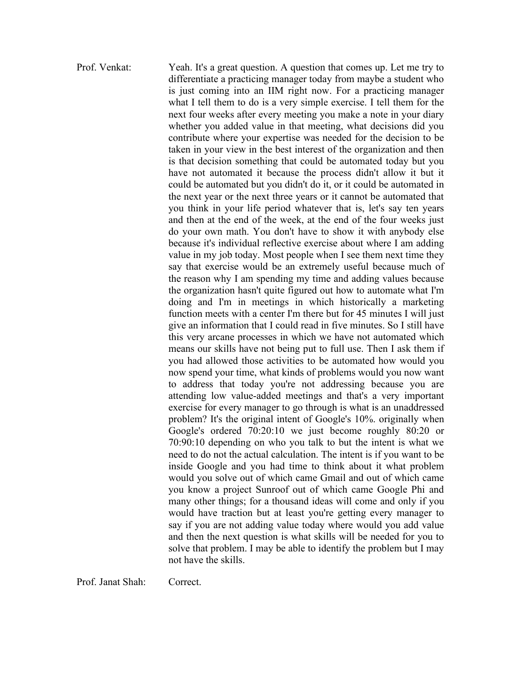Prof. Venkat: Yeah. It's a great question. A question that comes up. Let me try to differentiate a practicing manager today from maybe a student who is just coming into an IIM right now. For a practicing manager what I tell them to do is a very simple exercise. I tell them for the next four weeks after every meeting you make a note in your diary whether you added value in that meeting, what decisions did you contribute where your expertise was needed for the decision to be taken in your view in the best interest of the organization and then is that decision something that could be automated today but you have not automated it because the process didn't allow it but it could be automated but you didn't do it, or it could be automated in the next year or the next three years or it cannot be automated that you think in your life period whatever that is, let's say ten years and then at the end of the week, at the end of the four weeks just do your own math. You don't have to show it with anybody else because it's individual reflective exercise about where I am adding value in my job today. Most people when I see them next time they say that exercise would be an extremely useful because much of the reason why I am spending my time and adding values because the organization hasn't quite figured out how to automate what I'm doing and I'm in meetings in which historically a marketing function meets with a center I'm there but for 45 minutes I will just give an information that I could read in five minutes. So I still have this very arcane processes in which we have not automated which means our skills have not being put to full use. Then I ask them if you had allowed those activities to be automated how would you now spend your time, what kinds of problems would you now want to address that today you're not addressing because you are attending low value-added meetings and that's a very important exercise for every manager to go through is what is an unaddressed problem? It's the original intent of Google's 10%. originally when Google's ordered 70:20:10 we just become roughly 80:20 or 70:90:10 depending on who you talk to but the intent is what we need to do not the actual calculation. The intent is if you want to be inside Google and you had time to think about it what problem would you solve out of which came Gmail and out of which came you know a project Sunroof out of which came Google Phi and many other things; for a thousand ideas will come and only if you would have traction but at least you're getting every manager to say if you are not adding value today where would you add value and then the next question is what skills will be needed for you to solve that problem. I may be able to identify the problem but I may not have the skills.

Prof. Janat Shah: Correct.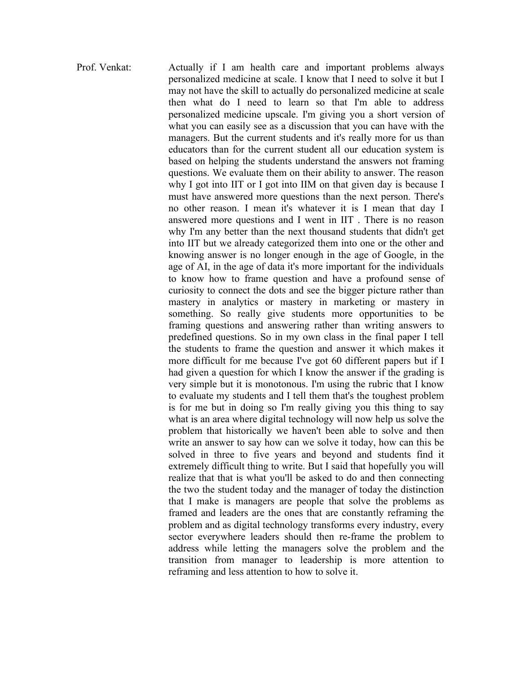Prof. Venkat: Actually if I am health care and important problems always personalized medicine at scale. I know that I need to solve it but I may not have the skill to actually do personalized medicine at scale then what do I need to learn so that I'm able to address personalized medicine upscale. I'm giving you a short version of what you can easily see as a discussion that you can have with the managers. But the current students and it's really more for us than educators than for the current student all our education system is based on helping the students understand the answers not framing questions. We evaluate them on their ability to answer. The reason why I got into IIT or I got into IIM on that given day is because I must have answered more questions than the next person. There's no other reason. I mean it's whatever it is I mean that day I answered more questions and I went in IIT . There is no reason why I'm any better than the next thousand students that didn't get into IIT but we already categorized them into one or the other and knowing answer is no longer enough in the age of Google, in the age of AI, in the age of data it's more important for the individuals to know how to frame question and have a profound sense of curiosity to connect the dots and see the bigger picture rather than mastery in analytics or mastery in marketing or mastery in something. So really give students more opportunities to be framing questions and answering rather than writing answers to predefined questions. So in my own class in the final paper I tell the students to frame the question and answer it which makes it more difficult for me because I've got 60 different papers but if I had given a question for which I know the answer if the grading is very simple but it is monotonous. I'm using the rubric that I know to evaluate my students and I tell them that's the toughest problem is for me but in doing so I'm really giving you this thing to say what is an area where digital technology will now help us solve the problem that historically we haven't been able to solve and then write an answer to say how can we solve it today, how can this be solved in three to five years and beyond and students find it extremely difficult thing to write. But I said that hopefully you will realize that that is what you'll be asked to do and then connecting the two the student today and the manager of today the distinction that I make is managers are people that solve the problems as framed and leaders are the ones that are constantly reframing the problem and as digital technology transforms every industry, every sector everywhere leaders should then re-frame the problem to address while letting the managers solve the problem and the transition from manager to leadership is more attention to reframing and less attention to how to solve it.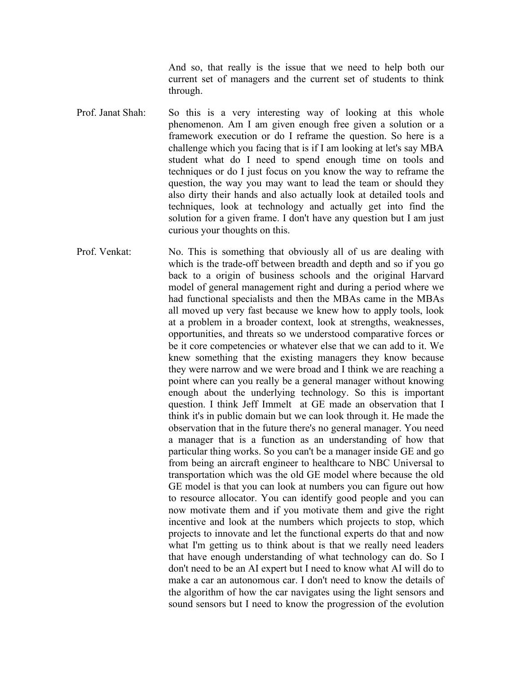And so, that really is the issue that we need to help both our current set of managers and the current set of students to think through.

- Prof. Janat Shah: So this is a very interesting way of looking at this whole phenomenon. Am I am given enough free given a solution or a framework execution or do I reframe the question. So here is a challenge which you facing that is if I am looking at let's say MBA student what do I need to spend enough time on tools and techniques or do I just focus on you know the way to reframe the question, the way you may want to lead the team or should they also dirty their hands and also actually look at detailed tools and techniques, look at technology and actually get into find the solution for a given frame. I don't have any question but I am just curious your thoughts on this.
- Prof. Venkat: No. This is something that obviously all of us are dealing with which is the trade-off between breadth and depth and so if you go back to a origin of business schools and the original Harvard model of general management right and during a period where we had functional specialists and then the MBAs came in the MBAs all moved up very fast because we knew how to apply tools, look at a problem in a broader context, look at strengths, weaknesses, opportunities, and threats so we understood comparative forces or be it core competencies or whatever else that we can add to it. We knew something that the existing managers they know because they were narrow and we were broad and I think we are reaching a point where can you really be a general manager without knowing enough about the underlying technology. So this is important question. I think Jeff Immelt at GE made an observation that I think it's in public domain but we can look through it. He made the observation that in the future there's no general manager. You need a manager that is a function as an understanding of how that particular thing works. So you can't be a manager inside GE and go from being an aircraft engineer to healthcare to NBC Universal to transportation which was the old GE model where because the old GE model is that you can look at numbers you can figure out how to resource allocator. You can identify good people and you can now motivate them and if you motivate them and give the right incentive and look at the numbers which projects to stop, which projects to innovate and let the functional experts do that and now what I'm getting us to think about is that we really need leaders that have enough understanding of what technology can do. So I don't need to be an AI expert but I need to know what AI will do to make a car an autonomous car. I don't need to know the details of the algorithm of how the car navigates using the light sensors and sound sensors but I need to know the progression of the evolution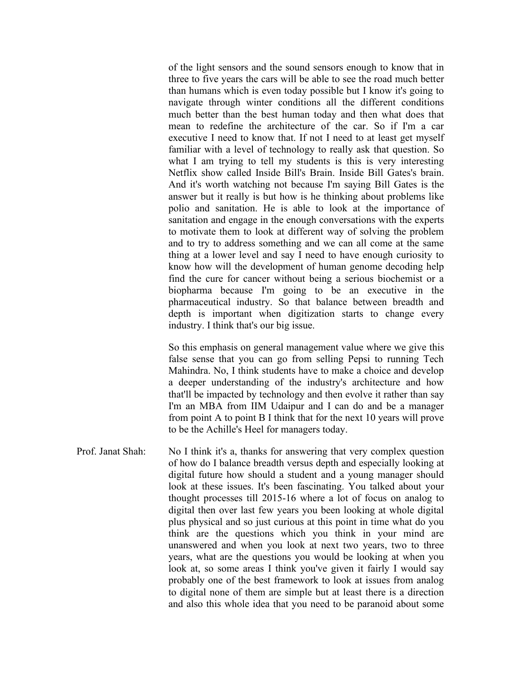of the light sensors and the sound sensors enough to know that in three to five years the cars will be able to see the road much better than humans which is even today possible but I know it's going to navigate through winter conditions all the different conditions much better than the best human today and then what does that mean to redefine the architecture of the car. So if I'm a car executive I need to know that. If not I need to at least get myself familiar with a level of technology to really ask that question. So what I am trying to tell my students is this is very interesting Netflix show called Inside Bill's Brain. Inside Bill Gates's brain. And it's worth watching not because I'm saying Bill Gates is the answer but it really is but how is he thinking about problems like polio and sanitation. He is able to look at the importance of sanitation and engage in the enough conversations with the experts to motivate them to look at different way of solving the problem and to try to address something and we can all come at the same thing at a lower level and say I need to have enough curiosity to know how will the development of human genome decoding help find the cure for cancer without being a serious biochemist or a biopharma because I'm going to be an executive in the pharmaceutical industry. So that balance between breadth and depth is important when digitization starts to change every industry. I think that's our big issue.

So this emphasis on general management value where we give this false sense that you can go from selling Pepsi to running Tech Mahindra. No, I think students have to make a choice and develop a deeper understanding of the industry's architecture and how that'll be impacted by technology and then evolve it rather than say I'm an MBA from IIM Udaipur and I can do and be a manager from point A to point B I think that for the next 10 years will prove to be the Achille's Heel for managers today.

Prof. Janat Shah: No I think it's a, thanks for answering that very complex question of how do I balance breadth versus depth and especially looking at digital future how should a student and a young manager should look at these issues. It's been fascinating. You talked about your thought processes till 2015-16 where a lot of focus on analog to digital then over last few years you been looking at whole digital plus physical and so just curious at this point in time what do you think are the questions which you think in your mind are unanswered and when you look at next two years, two to three years, what are the questions you would be looking at when you look at, so some areas I think you've given it fairly I would say probably one of the best framework to look at issues from analog to digital none of them are simple but at least there is a direction and also this whole idea that you need to be paranoid about some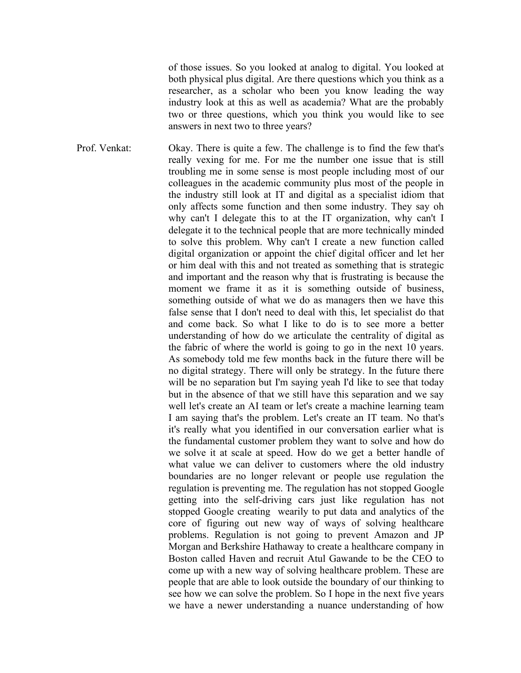of those issues. So you looked at analog to digital. You looked at both physical plus digital. Are there questions which you think as a researcher, as a scholar who been you know leading the way industry look at this as well as academia? What are the probably two or three questions, which you think you would like to see answers in next two to three years?

Prof. Venkat: Okay. There is quite a few. The challenge is to find the few that's really vexing for me. For me the number one issue that is still troubling me in some sense is most people including most of our colleagues in the academic community plus most of the people in the industry still look at IT and digital as a specialist idiom that only affects some function and then some industry. They say oh why can't I delegate this to at the IT organization, why can't I delegate it to the technical people that are more technically minded to solve this problem. Why can't I create a new function called digital organization or appoint the chief digital officer and let her or him deal with this and not treated as something that is strategic and important and the reason why that is frustrating is because the moment we frame it as it is something outside of business, something outside of what we do as managers then we have this false sense that I don't need to deal with this, let specialist do that and come back. So what I like to do is to see more a better understanding of how do we articulate the centrality of digital as the fabric of where the world is going to go in the next 10 years. As somebody told me few months back in the future there will be no digital strategy. There will only be strategy. In the future there will be no separation but I'm saying yeah I'd like to see that today but in the absence of that we still have this separation and we say well let's create an AI team or let's create a machine learning team I am saying that's the problem. Let's create an IT team. No that's it's really what you identified in our conversation earlier what is the fundamental customer problem they want to solve and how do we solve it at scale at speed. How do we get a better handle of what value we can deliver to customers where the old industry boundaries are no longer relevant or people use regulation the regulation is preventing me. The regulation has not stopped Google getting into the self-driving cars just like regulation has not stopped Google creating wearily to put data and analytics of the core of figuring out new way of ways of solving healthcare problems. Regulation is not going to prevent Amazon and JP Morgan and Berkshire Hathaway to create a healthcare company in Boston called Haven and recruit Atul Gawande to be the CEO to come up with a new way of solving healthcare problem. These are people that are able to look outside the boundary of our thinking to see how we can solve the problem. So I hope in the next five years we have a newer understanding a nuance understanding of how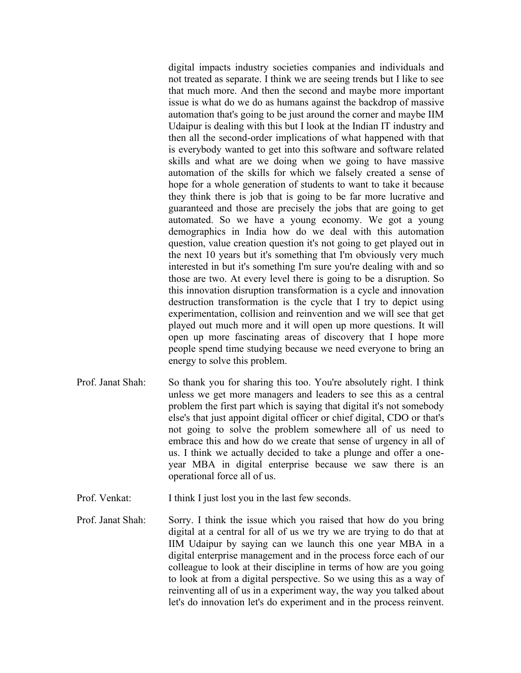digital impacts industry societies companies and individuals and not treated as separate. I think we are seeing trends but I like to see that much more. And then the second and maybe more important issue is what do we do as humans against the backdrop of massive automation that's going to be just around the corner and maybe IIM Udaipur is dealing with this but I look at the Indian IT industry and then all the second-order implications of what happened with that is everybody wanted to get into this software and software related skills and what are we doing when we going to have massive automation of the skills for which we falsely created a sense of hope for a whole generation of students to want to take it because they think there is job that is going to be far more lucrative and guaranteed and those are precisely the jobs that are going to get automated. So we have a young economy. We got a young demographics in India how do we deal with this automation question, value creation question it's not going to get played out in the next 10 years but it's something that I'm obviously very much interested in but it's something I'm sure you're dealing with and so those are two. At every level there is going to be a disruption. So this innovation disruption transformation is a cycle and innovation destruction transformation is the cycle that I try to depict using experimentation, collision and reinvention and we will see that get played out much more and it will open up more questions. It will open up more fascinating areas of discovery that I hope more people spend time studying because we need everyone to bring an energy to solve this problem.

- Prof. Janat Shah: So thank you for sharing this too. You're absolutely right. I think unless we get more managers and leaders to see this as a central problem the first part which is saying that digital it's not somebody else's that just appoint digital officer or chief digital, CDO or that's not going to solve the problem somewhere all of us need to embrace this and how do we create that sense of urgency in all of us. I think we actually decided to take a plunge and offer a oneyear MBA in digital enterprise because we saw there is an operational force all of us.
- Prof. Venkat: I think I just lost you in the last few seconds.
- Prof. Janat Shah: Sorry. I think the issue which you raised that how do you bring digital at a central for all of us we try we are trying to do that at IIM Udaipur by saying can we launch this one year MBA in a digital enterprise management and in the process force each of our colleague to look at their discipline in terms of how are you going to look at from a digital perspective. So we using this as a way of reinventing all of us in a experiment way, the way you talked about let's do innovation let's do experiment and in the process reinvent.